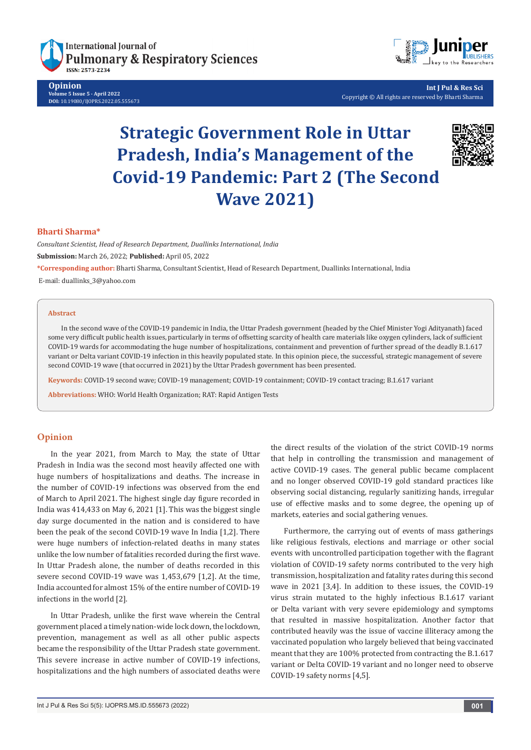**International Journal of Pulmonary & Respiratory Sciences** 

**Opinion Volume 5 Issue 5 - April 2022 DOI:** [10.19080/IJOPRS.2022.05.5556](http://dx.doi.org/10.19080/IJOPRS.2022.05.555673)73



**Int J Pul & Res Sci** Copyright © All rights are reserved by Bharti Sharma

# **Strategic Government Role in Uttar Pradesh, India's Management of the Covid-19 Pandemic: Part 2 (The Second Wave 2021)**



## **Bharti Sharma\***

*Consultant Scientist, Head of Research Department, Duallinks International, India*

**Submission:** March 26, 2022; **Published:** April 05, 2022

**\*Corresponding author:** Bharti Sharma, Consultant Scientist, Head of Research Department, Duallinks International, India

E-mail: duallinks\_3@yahoo.com

#### **Abstract**

In the second wave of the COVID-19 pandemic in India, the Uttar Pradesh government (headed by the Chief Minister Yogi Adityanath) faced some very difficult public health issues, particularly in terms of offsetting scarcity of health care materials like oxygen cylinders, lack of sufficient COVID-19 wards for accommodating the huge number of hospitalizations, containment and prevention of further spread of the deadly B.1.617 variant or Delta variant COVID-19 infection in this heavily populated state. In this opinion piece, the successful, strategic management of severe second COVID-19 wave (that occurred in 2021) by the Uttar Pradesh government has been presented.

**Keywords:** COVID-19 second wave; COVID-19 management; COVID-19 containment; COVID-19 contact tracing; B.1.617 variant

**Abbreviations:** WHO: World Health Organization; RAT: Rapid Antigen Tests

#### **Opinion**

In the year 2021, from March to May, the state of Uttar Pradesh in India was the second most heavily affected one with huge numbers of hospitalizations and deaths. The increase in the number of COVID-19 infections was observed from the end of March to April 2021. The highest single day figure recorded in India was 414,433 on May 6, 2021 [1]. This was the biggest single day surge documented in the nation and is considered to have been the peak of the second COVID-19 wave In India [1,2]. There were huge numbers of infection-related deaths in many states unlike the low number of fatalities recorded during the first wave. In Uttar Pradesh alone, the number of deaths recorded in this severe second COVID-19 wave was 1,453,679 [1,2]. At the time, India accounted for almost 15% of the entire number of COVID-19 infections in the world [2].

In Uttar Pradesh, unlike the first wave wherein the Central government placed a timely nation-wide lock down, the lockdown, prevention, management as well as all other public aspects became the responsibility of the Uttar Pradesh state government. This severe increase in active number of COVID-19 infections, hospitalizations and the high numbers of associated deaths were

the direct results of the violation of the strict COVID-19 norms that help in controlling the transmission and management of active COVID-19 cases. The general public became complacent and no longer observed COVID-19 gold standard practices like observing social distancing, regularly sanitizing hands, irregular use of effective masks and to some degree, the opening up of markets, eateries and social gathering venues.

Furthermore, the carrying out of events of mass gatherings like religious festivals, elections and marriage or other social events with uncontrolled participation together with the flagrant violation of COVID-19 safety norms contributed to the very high transmission, hospitalization and fatality rates during this second wave in 2021 [3,4]. In addition to these issues, the COVID-19 virus strain mutated to the highly infectious B.1.617 variant or Delta variant with very severe epidemiology and symptoms that resulted in massive hospitalization. Another factor that contributed heavily was the issue of vaccine illiteracy among the vaccinated population who largely believed that being vaccinated meant that they are 100% protected from contracting the B.1.617 variant or Delta COVID-19 variant and no longer need to observe COVID-19 safety norms [4,5].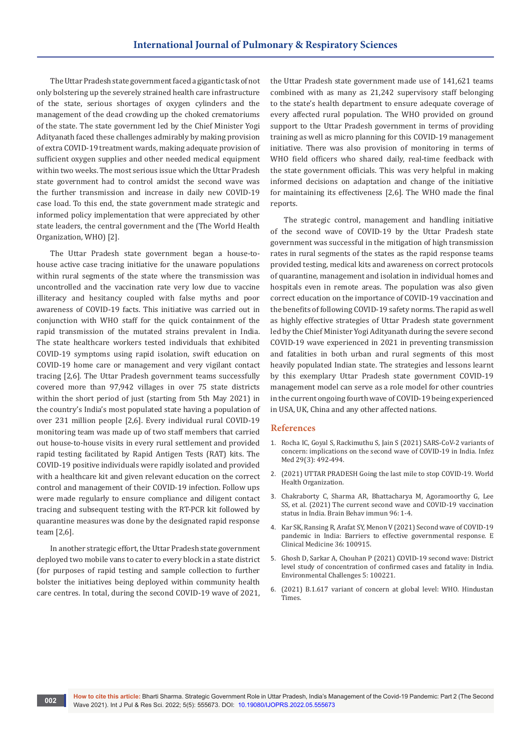The Uttar Pradesh state government faced a gigantic task of not only bolstering up the severely strained health care infrastructure of the state, serious shortages of oxygen cylinders and the management of the dead crowding up the choked crematoriums of the state. The state government led by the Chief Minister Yogi Adityanath faced these challenges admirably by making provision of extra COVID-19 treatment wards, making adequate provision of sufficient oxygen supplies and other needed medical equipment within two weeks. The most serious issue which the Uttar Pradesh state government had to control amidst the second wave was the further transmission and increase in daily new COVID-19 case load. To this end, the state government made strategic and informed policy implementation that were appreciated by other state leaders, the central government and the (The World Health Organization, WHO) [2].

The Uttar Pradesh state government began a house-tohouse active case tracing initiative for the unaware populations within rural segments of the state where the transmission was uncontrolled and the vaccination rate very low due to vaccine illiteracy and hesitancy coupled with false myths and poor awareness of COVID-19 facts. This initiative was carried out in conjunction with WHO staff for the quick containment of the rapid transmission of the mutated strains prevalent in India. The state healthcare workers tested individuals that exhibited COVID-19 symptoms using rapid isolation, swift education on COVID-19 home care or management and very vigilant contact tracing [2,6]. The Uttar Pradesh government teams successfully covered more than 97,942 villages in over 75 state districts within the short period of just (starting from 5th May 2021) in the country's India's most populated state having a population of over 231 million people [2,6]. Every individual rural COVID-19 monitoring team was made up of two staff members that carried out house-to-house visits in every rural settlement and provided rapid testing facilitated by Rapid Antigen Tests (RAT) kits. The COVID-19 positive individuals were rapidly isolated and provided with a healthcare kit and given relevant education on the correct control and management of their COVID-19 infection. Follow ups were made regularly to ensure compliance and diligent contact tracing and subsequent testing with the RT-PCR kit followed by quarantine measures was done by the designated rapid response team [2,6].

In another strategic effort, the Uttar Pradesh state government deployed two mobile vans to cater to every block in a state district (for purposes of rapid testing and sample collection to further bolster the initiatives being deployed within community health care centres. In total, during the second COVID-19 wave of 2021, the Uttar Pradesh state government made use of 141,621 teams combined with as many as 21,242 supervisory staff belonging to the state's health department to ensure adequate coverage of every affected rural population. The WHO provided on ground support to the Uttar Pradesh government in terms of providing training as well as micro planning for this COVID-19 management initiative. There was also provision of monitoring in terms of WHO field officers who shared daily, real-time feedback with the state government officials. This was very helpful in making informed decisions on adaptation and change of the initiative for maintaining its effectiveness [2,6]. The WHO made the final reports.

The strategic control, management and handling initiative of the second wave of COVID-19 by the Uttar Pradesh state government was successful in the mitigation of high transmission rates in rural segments of the states as the rapid response teams provided testing, medical kits and awareness on correct protocols of quarantine, management and isolation in individual homes and hospitals even in remote areas. The population was also given correct education on the importance of COVID-19 vaccination and the benefits of following COVID-19 safety norms. The rapid as well as highly effective strategies of Uttar Pradesh state government led by the Chief Minister Yogi Adityanath during the severe second COVID-19 wave experienced in 2021 in preventing transmission and fatalities in both urban and rural segments of this most heavily populated Indian state. The strategies and lessons learnt by this exemplary Uttar Pradesh state government COVID-19 management model can serve as a role model for other countries in the current ongoing fourth wave of COVID-19 being experienced in USA, UK, China and any other affected nations.

### **References**

- 1. [Rocha IC, Goyal S, Rackimuthu S, Jain S \(2021\) SARS-CoV-2 variants of](https://pubmed.ncbi.nlm.nih.gov/35146356/)  [concern: implications on the second wave of COVID-19 in India. Infez](https://pubmed.ncbi.nlm.nih.gov/35146356/)  [Med 29\(3\): 492-494.](https://pubmed.ncbi.nlm.nih.gov/35146356/)
- 2. [\(2021\) UTTAR PRADESH Going the last mile to stop COVID-19. World](https://www.who.int/india/news/feature-stories/detail/uttar-pradesh-going-the-last-mile-to-stop-covid-19)  [Health Organization.](https://www.who.int/india/news/feature-stories/detail/uttar-pradesh-going-the-last-mile-to-stop-covid-19)
- 3. [Chakraborty C, Sharma AR, Bhattacharya M, Agoramoorthy G, Lee](https://pubmed.ncbi.nlm.nih.gov/34022371/)  [SS, et al. \(2021\) The current second wave and COVID-19 vaccination](https://pubmed.ncbi.nlm.nih.gov/34022371/)  [status in India. Brain Behav immun 96: 1-4.](https://pubmed.ncbi.nlm.nih.gov/34022371/)
- 4. [Kar SK, Ransing R, Arafat SY, Menon V \(2021\) Second wave of COVID-19](https://pubmed.ncbi.nlm.nih.gov/34095794/)  [pandemic in India: Barriers to effective governmental response. E](https://pubmed.ncbi.nlm.nih.gov/34095794/)  [Clinical Medicine 36: 100915.](https://pubmed.ncbi.nlm.nih.gov/34095794/)
- 5. [Ghosh D, Sarkar A, Chouhan P \(2021\) COVID-19 second wave: District](https://www.sciencedirect.com/science/article/pii/S2667010021002006)  [level study of concentration of confirmed cases and fatality in India.](https://www.sciencedirect.com/science/article/pii/S2667010021002006)  [Environmental Challenges 5: 100221.](https://www.sciencedirect.com/science/article/pii/S2667010021002006)
- 6. [\(2021\) B.1.617 variant of concern at global level: WHO. Hindustan](https://www.hindustantimes.com/india-news/b1617-variant494I.C.N.%20Rocha,%20S.%20Goyal,%20S.%20Rackimuthu,%20et%20al.of-concern-at-global-level-who-101620675440094.html)  [Times.](https://www.hindustantimes.com/india-news/b1617-variant494I.C.N.%20Rocha,%20S.%20Goyal,%20S.%20Rackimuthu,%20et%20al.of-concern-at-global-level-who-101620675440094.html)